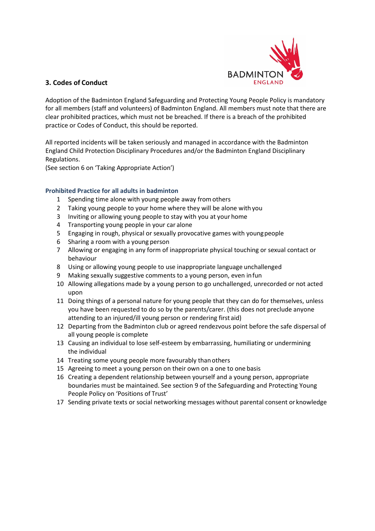

## 3. Codes of Conduct

Adoption of the Badminton England Safeguarding and Protecting Young People Policy is mandatory for all members (staff and volunteers) of Badminton England. All members must note that there are clear prohibited practices, which must not be breached. If there is a breach of the prohibited practice or Codes of Conduct, this should be reported.

All reported incidents will be taken seriously and managed in accordance with the Badminton England Child Protection Disciplinary Procedures and/or the Badminton England Disciplinary Regulations.

(See section 6 on 'Taking Appropriate Action')

#### Prohibited Practice for all adults in badminton

- 1 Spending time alone with young people away from others
- 2 Taking young people to your home where they will be alone with you
- 3 Inviting or allowing young people to stay with you at your home
- 4 Transporting young people in your car alone
- 5 Engaging in rough, physical or sexually provocative games with young people
- 6 Sharing a room with a young person
- 7 Allowing or engaging in any form of inappropriate physical touching or sexual contact or behaviour
- 8 Using or allowing young people to use inappropriate language unchallenged
- 9 Making sexually suggestive comments to a young person, even in fun
- 10 Allowing allegations made by a young person to go unchallenged, unrecorded or not acted upon
- 11 Doing things of a personal nature for young people that they can do for themselves, unless you have been requested to do so by the parents/carer. (this does not preclude anyone attending to an injured/ill young person or rendering first aid)
- 12 Departing from the Badminton club or agreed rendezvous point before the safe dispersal of all young people is complete
- 13 Causing an individual to lose self-esteem by embarrassing, humiliating or undermining the individual
- 14 Treating some young people more favourably than others
- 15 Agreeing to meet a young person on their own on a one to one basis
- 16 Creating a dependent relationship between yourself and a young person, appropriate boundaries must be maintained. See section 9 of the Safeguarding and Protecting Young People Policy on 'Positions of Trust'
- 17 Sending private texts or social networking messages without parental consent or knowledge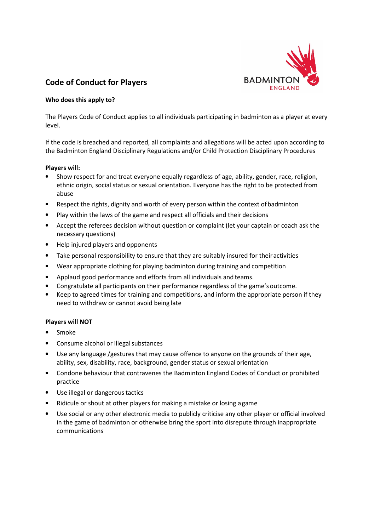

## Code of Conduct for Players

#### Who does this apply to?

The Players Code of Conduct applies to all individuals participating in badminton as a player at every level.

If the code is breached and reported, all complaints and allegations will be acted upon according to the Badminton England Disciplinary Regulations and/or Child Protection Disciplinary Procedures

#### Players will:

- Show respect for and treat everyone equally regardless of age, ability, gender, race, religion, ethnic origin, social status or sexual orientation. Everyone has the right to be protected from abuse
- Respect the rights, dignity and worth of every person within the context of badminton
- Play within the laws of the game and respect all officials and their decisions
- Accept the referees decision without question or complaint (let your captain or coach ask the necessary questions)
- Help injured players and opponents
- Take personal responsibility to ensure that they are suitably insured for their activities
- Wear appropriate clothing for playing badminton during training and competition
- Applaud good performance and efforts from all individuals and teams.
- Congratulate all participants on their performance regardless of the game's outcome.
- Keep to agreed times for training and competitions, and inform the appropriate person if they need to withdraw or cannot avoid being late

#### Players will NOT

- Smoke
- Consume alcohol or illegal substances
- Use any language /gestures that may cause offence to anyone on the grounds of their age, ability, sex, disability, race, background, gender status or sexual orientation
- Condone behaviour that contravenes the Badminton England Codes of Conduct or prohibited practice
- Use illegal or dangerous tactics
- Ridicule or shout at other players for making a mistake or losing a game
- Use social or any other electronic media to publicly criticise any other player or official involved in the game of badminton or otherwise bring the sport into disrepute through inappropriate communications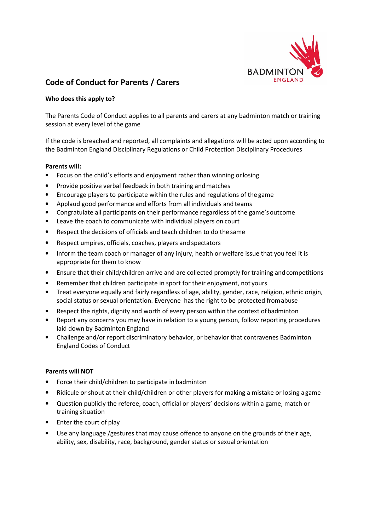

## Code of Conduct for Parents / Carers

#### Who does this apply to?

The Parents Code of Conduct applies to all parents and carers at any badminton match or training session at every level of the game

If the code is breached and reported, all complaints and allegations will be acted upon according to the Badminton England Disciplinary Regulations or Child Protection Disciplinary Procedures

#### Parents will:

- Focus on the child's efforts and enjoyment rather than winning or losing
- Provide positive verbal feedback in both training and matches
- Encourage players to participate within the rules and regulations of the game
- Applaud good performance and efforts from all individuals and teams
- Congratulate all participants on their performance regardless of the game's outcome
- Leave the coach to communicate with individual players on court
- Respect the decisions of officials and teach children to do the same
- Respect umpires, officials, coaches, players and spectators
- Inform the team coach or manager of any injury, health or welfare issue that you feel it is appropriate for them to know
- Ensure that their child/children arrive and are collected promptly for training and competitions
- Remember that children participate in sport for their enjoyment, not yours
- Treat everyone equally and fairly regardless of age, ability, gender, race, religion, ethnic origin, social status or sexual orientation. Everyone has the right to be protected from abuse
- Respect the rights, dignity and worth of every person within the context of badminton
- Report any concerns you may have in relation to a young person, follow reporting procedures laid down by Badminton England
- Challenge and/or report discriminatory behavior, or behavior that contravenes Badminton England Codes of Conduct

#### Parents will NOT

- Force their child/children to participate in badminton
- Ridicule or shout at their child/children or other players for making a mistake or losing a game
- Question publicly the referee, coach, official or players' decisions within a game, match or training situation
- Enter the court of play
- Use any language /gestures that may cause offence to anyone on the grounds of their age, ability, sex, disability, race, background, gender status or sexual orientation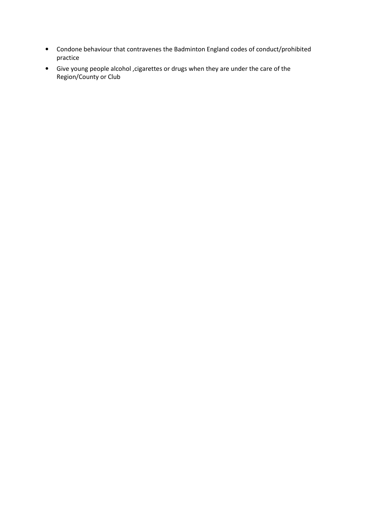- Condone behaviour that contravenes the Badminton England codes of conduct/prohibited practice
- Give young people alcohol ,cigarettes or drugs when they are under the care of the Region/County or Club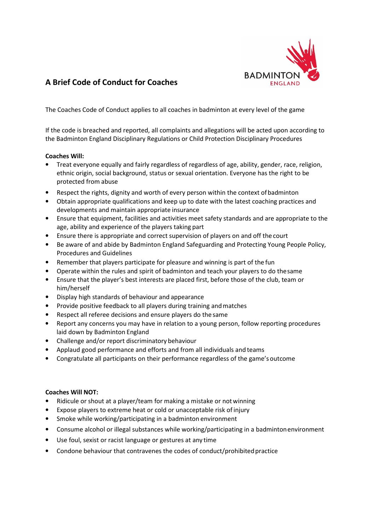

# A Brief Code of Conduct for Coaches

The Coaches Code of Conduct applies to all coaches in badminton at every level of the game

If the code is breached and reported, all complaints and allegations will be acted upon according to the Badminton England Disciplinary Regulations or Child Protection Disciplinary Procedures

#### Coaches Will:

- Treat everyone equally and fairly regardless of regardless of age, ability, gender, race, religion, ethnic origin, social background, status or sexual orientation. Everyone has the right to be protected from abuse
- Respect the rights, dignity and worth of every person within the context of badminton
- Obtain appropriate qualifications and keep up to date with the latest coaching practices and developments and maintain appropriate insurance
- Ensure that equipment, facilities and activities meet safety standards and are appropriate to the age, ability and experience of the players taking part
- Ensure there is appropriate and correct supervision of players on and off the court
- Be aware of and abide by Badminton England Safeguarding and Protecting Young People Policy, Procedures and Guidelines
- Remember that players participate for pleasure and winning is part of the fun
- Operate within the rules and spirit of badminton and teach your players to do the same
- Ensure that the player's best interests are placed first, before those of the club, team or him/herself
- Display high standards of behaviour and appearance
- Provide positive feedback to all players during training and matches
- Respect all referee decisions and ensure players do the same
- Report any concerns you may have in relation to a young person, follow reporting procedures laid down by Badminton England
- Challenge and/or report discriminatory behaviour
- Applaud good performance and efforts and from all individuals and teams
- Congratulate all participants on their performance regardless of the game's outcome

#### Coaches Will NOT:

- Ridicule or shout at a player/team for making a mistake or not winning
- Expose players to extreme heat or cold or unacceptable risk of injury
- Smoke while working/participating in a badminton environment
- Consume alcohol or illegal substances while working/participating in a badminton environment
- Use foul, sexist or racist language or gestures at any time
- Condone behaviour that contravenes the codes of conduct/prohibited practice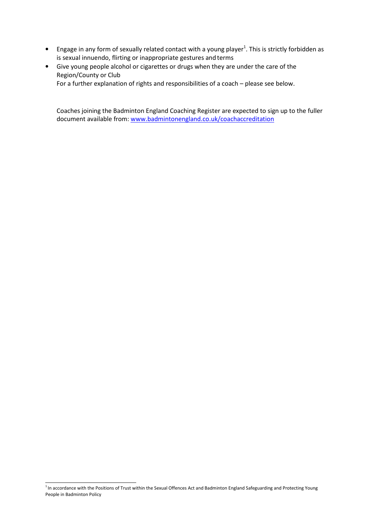- $\bullet$  Engage in any form of sexually related contact with a young player<sup>1</sup>. This is strictly forbidden as is sexual innuendo, flirting or inappropriate gestures and terms
- Give young people alcohol or cigarettes or drugs when they are under the care of the Region/County or Club

For a further explanation of rights and responsibilities of a coach – please see below.

Coaches joining the Badminton England Coaching Register are expected to sign up to the fuller document available from: www.badmintonengland.co.uk/coachaccreditation

 $1$ In accordance with the Positions of Trust within the Sexual Offences Act and Badminton England Safeguarding and Protecting Young People in Badminton Policy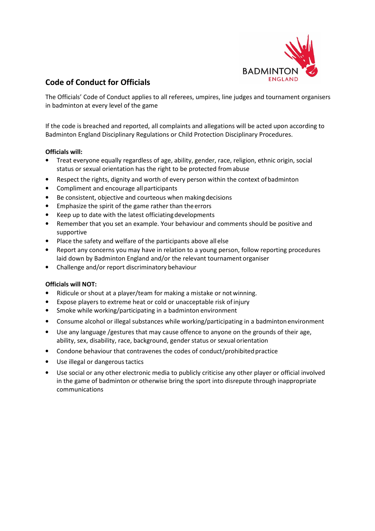

# Code of Conduct for Officials

The Officials' Code of Conduct applies to all referees, umpires, line judges and tournament organisers in badminton at every level of the game

If the code is breached and reported, all complaints and allegations will be acted upon according to Badminton England Disciplinary Regulations or Child Protection Disciplinary Procedures.

## Officials will:

- Treat everyone equally regardless of age, ability, gender, race, religion, ethnic origin, social status or sexual orientation has the right to be protected from abuse
- Respect the rights, dignity and worth of every person within the context of badminton
- Compliment and encourage all participants
- Be consistent, objective and courteous when making decisions
- Emphasize the spirit of the game rather than the errors
- Keep up to date with the latest officiating developments
- Remember that you set an example. Your behaviour and comments should be positive and supportive
- Place the safety and welfare of the participants above all else
- Report any concerns you may have in relation to a young person, follow reporting procedures laid down by Badminton England and/or the relevant tournament organiser
- Challenge and/or report discriminatory behaviour

## Officials will NOT:

- Ridicule or shout at a player/team for making a mistake or not winning.
- Expose players to extreme heat or cold or unacceptable risk of injury
- Smoke while working/participating in a badminton environment
- Consume alcohol or illegal substances while working/participating in a badminton environment
- Use any language /gestures that may cause offence to anyone on the grounds of their age, ability, sex, disability, race, background, gender status or sexual orientation
- Condone behaviour that contravenes the codes of conduct/prohibited practice
- Use illegal or dangerous tactics
- Use social or any other electronic media to publicly criticise any other player or official involved in the game of badminton or otherwise bring the sport into disrepute through inappropriate communications